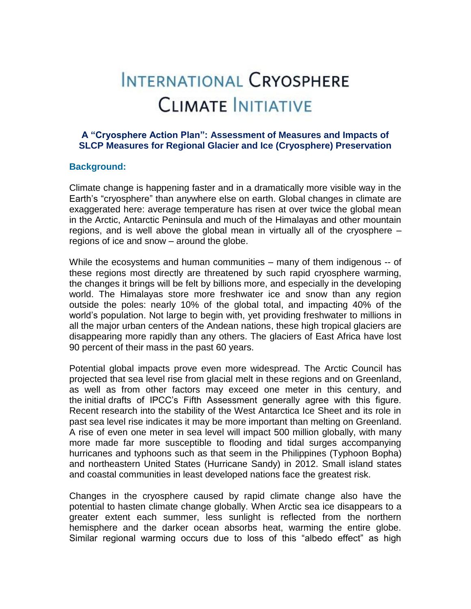# INTERNATIONAL CRYOSPHERE **CLIMATE INITIATIVE**

## **A "Cryosphere Action Plan": Assessment of Measures and Impacts of SLCP Measures for Regional Glacier and Ice (Cryosphere) Preservation**

### **Background:**

Climate change is happening faster and in a dramatically more visible way in the Earth's "cryosphere" than anywhere else on earth. Global changes in climate are exaggerated here: average temperature has risen at over twice the global mean in the Arctic, Antarctic Peninsula and much of the Himalayas and other mountain regions, and is well above the global mean in virtually all of the cryosphere – regions of ice and snow – around the globe.

While the ecosystems and human communities – many of them indigenous -- of these regions most directly are threatened by such rapid cryosphere warming, the changes it brings will be felt by billions more, and especially in the developing world. The Himalayas store more freshwater ice and snow than any region outside the poles: nearly 10% of the global total, and impacting 40% of the world's population. Not large to begin with, yet providing freshwater to millions in all the major urban centers of the Andean nations, these high tropical glaciers are disappearing more rapidly than any others. The glaciers of East Africa have lost 90 percent of their mass in the past 60 years.

Potential global impacts prove even more widespread. The Arctic Council has projected that sea level rise from glacial melt in these regions and on Greenland, as well as from other factors may exceed one meter in this century, and the initial drafts of IPCC's Fifth Assessment generally agree with this figure. Recent research into the stability of the West Antarctica Ice Sheet and its role in past sea level rise indicates it may be more important than melting on Greenland. A rise of even one meter in sea level will impact 500 million globally, with many more made far more susceptible to flooding and tidal surges accompanying hurricanes and typhoons such as that seem in the Philippines (Typhoon Bopha) and northeastern United States (Hurricane Sandy) in 2012. Small island states and coastal communities in least developed nations face the greatest risk.

Changes in the cryosphere caused by rapid climate change also have the potential to hasten climate change globally. When Arctic sea ice disappears to a greater extent each summer, less sunlight is reflected from the northern hemisphere and the darker ocean absorbs heat, warming the entire globe. Similar regional warming occurs due to loss of this "albedo effect" as high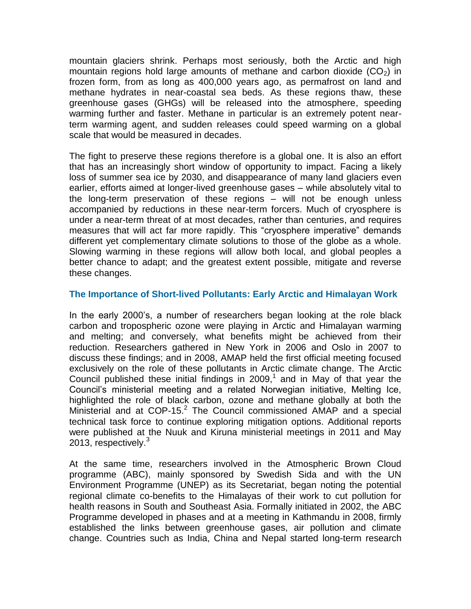mountain glaciers shrink. Perhaps most seriously, both the Arctic and high mountain regions hold large amounts of methane and carbon dioxide  $(CO<sub>2</sub>)$  in frozen form, from as long as 400,000 years ago, as permafrost on land and methane hydrates in near-coastal sea beds. As these regions thaw, these greenhouse gases (GHGs) will be released into the atmosphere, speeding warming further and faster. Methane in particular is an extremely potent nearterm warming agent, and sudden releases could speed warming on a global scale that would be measured in decades.

The fight to preserve these regions therefore is a global one. It is also an effort that has an increasingly short window of opportunity to impact. Facing a likely loss of summer sea ice by 2030, and disappearance of many land glaciers even earlier, efforts aimed at longer-lived greenhouse gases – while absolutely vital to the long-term preservation of these regions – will not be enough unless accompanied by reductions in these near-term forcers. Much of cryosphere is under a near-term threat of at most decades, rather than centuries, and requires measures that will act far more rapidly. This "cryosphere imperative" demands different yet complementary climate solutions to those of the globe as a whole. Slowing warming in these regions will allow both local, and global peoples a better chance to adapt; and the greatest extent possible, mitigate and reverse these changes.

## **The Importance of Short-lived Pollutants: Early Arctic and Himalayan Work**

In the early 2000's, a number of researchers began looking at the role black carbon and tropospheric ozone were playing in Arctic and Himalayan warming and melting; and conversely, what benefits might be achieved from their reduction. Researchers gathered in New York in 2006 and Oslo in 2007 to discuss these findings; and in 2008, AMAP held the first official meeting focused exclusively on the role of these pollutants in Arctic climate change. The Arctic Council published these initial findings in  $2009<sup>1</sup>$  and in May of that year the Council's ministerial meeting and a related Norwegian initiative, Melting Ice, highlighted the role of black carbon, ozone and methane globally at both the Ministerial and at COP-15.<sup>2</sup> The Council commissioned AMAP and a special technical task force to continue exploring mitigation options. Additional reports were published at the Nuuk and Kiruna ministerial meetings in 2011 and May 2013, respectively.<sup>3</sup>

At the same time, researchers involved in the Atmospheric Brown Cloud programme (ABC), mainly sponsored by Swedish Sida and with the UN Environment Programme (UNEP) as its Secretariat, began noting the potential regional climate co-benefits to the Himalayas of their work to cut pollution for health reasons in South and Southeast Asia. Formally initiated in 2002, the ABC Programme developed in phases and at a meeting in Kathmandu in 2008, firmly established the links between greenhouse gases, air pollution and climate change. Countries such as India, China and Nepal started long-term research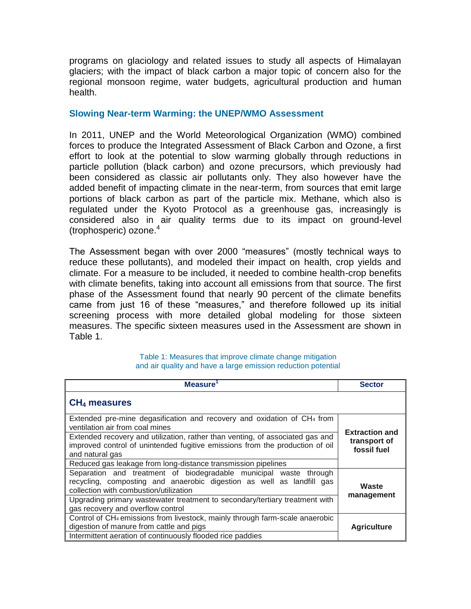programs on glaciology and related issues to study all aspects of Himalayan glaciers; with the impact of black carbon a major topic of concern also for the regional monsoon regime, water budgets, agricultural production and human health.

#### **Slowing Near-term Warming: the UNEP/WMO Assessment**

In 2011, UNEP and the World Meteorological Organization (WMO) combined forces to produce the Integrated Assessment of Black Carbon and Ozone, a first effort to look at the potential to slow warming globally through reductions in particle pollution (black carbon) and ozone precursors, which previously had been considered as classic air pollutants only. They also however have the added benefit of impacting climate in the near-term, from sources that emit large portions of black carbon as part of the particle mix. Methane, which also is regulated under the Kyoto Protocol as a greenhouse gas, increasingly is considered also in air quality terms due to its impact on ground-level (trophosperic) ozone. $4$ 

The Assessment began with over 2000 "measures" (mostly technical ways to reduce these pollutants), and modeled their impact on health, crop yields and climate. For a measure to be included, it needed to combine health-crop benefits with climate benefits, taking into account all emissions from that source. The first phase of the Assessment found that nearly 90 percent of the climate benefits came from just 16 of these "measures," and therefore followed up its initial screening process with more detailed global modeling for those sixteen measures. The specific sixteen measures used in the Assessment are shown in Table 1.

| <b>Measure</b>                                                                                                                                                                       | <b>Sector</b>                                        |
|--------------------------------------------------------------------------------------------------------------------------------------------------------------------------------------|------------------------------------------------------|
| $CH4$ measures                                                                                                                                                                       |                                                      |
| Extended pre-mine degasification and recovery and oxidation of $CH4$ from<br>ventilation air from coal mines                                                                         |                                                      |
| Extended recovery and utilization, rather than venting, of associated gas and<br>improved control of unintended fugitive emissions from the production of oil<br>and natural gas     | <b>Extraction and</b><br>transport of<br>fossil fuel |
| Reduced gas leakage from long-distance transmission pipelines                                                                                                                        |                                                      |
| Separation and treatment of biodegradable municipal waste through<br>recycling, composting and anaerobic digestion as well as landfill gas<br>collection with combustion/utilization | Waste                                                |
| Upgrading primary wastewater treatment to secondary/tertiary treatment with<br>gas recovery and overflow control                                                                     | management                                           |
| Control of CH <sub>4</sub> emissions from livestock, mainly through farm-scale anaerobic<br>digestion of manure from cattle and pigs                                                 | <b>Agriculture</b>                                   |
| Intermittent aeration of continuously flooded rice paddies                                                                                                                           |                                                      |

#### Table 1: Measures that improve climate change mitigation and air quality and have a large emission reduction potential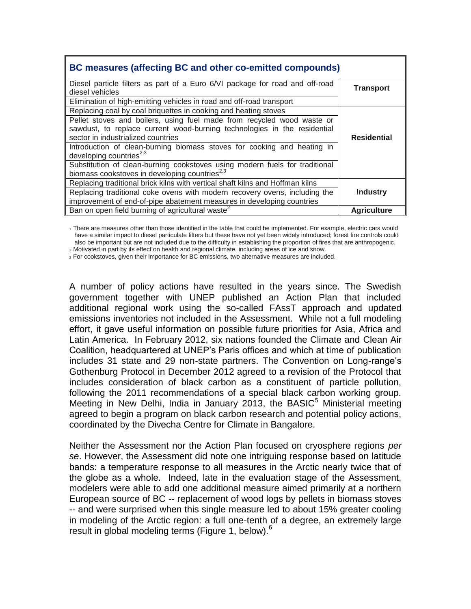| BC measures (affecting BC and other co-emitted compounds)                     |                    |
|-------------------------------------------------------------------------------|--------------------|
| Diesel particle filters as part of a Euro 6/VI package for road and off-road  | Transport          |
| diesel vehicles                                                               |                    |
| Elimination of high-emitting vehicles in road and off-road transport          |                    |
| Replacing coal by coal briquettes in cooking and heating stoves               |                    |
| Pellet stoves and boilers, using fuel made from recycled wood waste or        |                    |
| sawdust, to replace current wood-burning technologies in the residential      |                    |
| sector in industrialized countries                                            | <b>Residential</b> |
| Introduction of clean-burning biomass stoves for cooking and heating in       |                    |
| developing countries <sup>2,3</sup>                                           |                    |
| Substitution of clean-burning cookstoves using modern fuels for traditional   |                    |
| biomass cookstoves in developing countries <sup>2,3</sup>                     |                    |
| Replacing traditional brick kilns with vertical shaft kilns and Hoffman kilns |                    |
| Replacing traditional coke ovens with modern recovery ovens, including the    | <b>Industry</b>    |
| improvement of end-of-pipe abatement measures in developing countries         |                    |
| Ban on open field burning of agricultural waste <sup>2</sup>                  | <b>Agriculture</b> |

1 There are measures other than those identified in the table that could be implemented. For example, electric cars would have a similar impact to diesel particulate filters but these have not yet been widely introduced; forest fire controls could also be important but are not included due to the difficulty in establishing the proportion of fires that are anthropogenic. <sup>2</sup>Motivated in part by its effect on health and regional climate, including areas of ice and snow.

3 For cookstoves, given their importance for BC emissions, two alternative measures are included.

A number of policy actions have resulted in the years since. The Swedish government together with UNEP published an Action Plan that included additional regional work using the so-called FAssT approach and updated emissions inventories not included in the Assessment. While not a full modeling effort, it gave useful information on possible future priorities for Asia, Africa and Latin America. In February 2012, six nations founded the Climate and Clean Air Coalition, headquartered at UNEP's Paris offices and which at time of publication includes 31 state and 29 non-state partners. The Convention on Long-range's Gothenburg Protocol in December 2012 agreed to a revision of the Protocol that includes consideration of black carbon as a constituent of particle pollution, following the 2011 recommendations of a special black carbon working group. Meeting in New Delhi, India in January 2013, the BASI $C<sup>5</sup>$  Ministerial meeting agreed to begin a program on black carbon research and potential policy actions, coordinated by the Divecha Centre for Climate in Bangalore.

Neither the Assessment nor the Action Plan focused on cryosphere regions *per se*. However, the Assessment did note one intriguing response based on latitude bands: a temperature response to all measures in the Arctic nearly twice that of the globe as a whole. Indeed, late in the evaluation stage of the Assessment, modelers were able to add one additional measure aimed primarily at a northern European source of BC -- replacement of wood logs by pellets in biomass stoves -- and were surprised when this single measure led to about 15% greater cooling in modeling of the Arctic region: a full one-tenth of a degree, an extremely large result in global modeling terms (Figure 1, below).<sup>6</sup>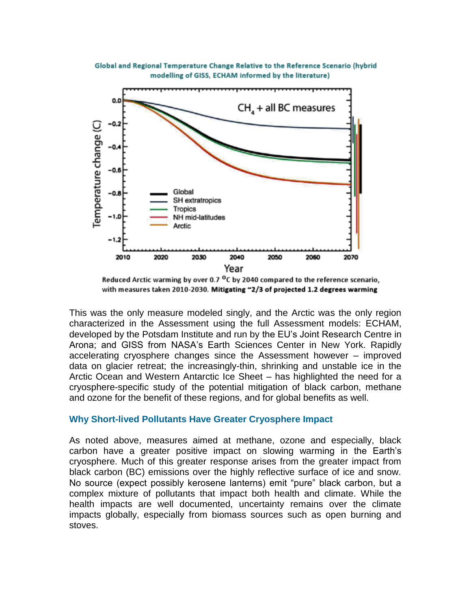



Reduced Arctic warming by over 0.7 <sup>o</sup>C by 2040 compared to the reference scenario, with measures taken 2010-2030. Mitigating ~2/3 of projected 1.2 degrees warming

This was the only measure modeled singly, and the Arctic was the only region characterized in the Assessment using the full Assessment models: ECHAM, developed by the Potsdam Institute and run by the EU's Joint Research Centre in Arona; and GISS from NASA's Earth Sciences Center in New York. Rapidly accelerating cryosphere changes since the Assessment however – improved data on glacier retreat; the increasingly-thin, shrinking and unstable ice in the Arctic Ocean and Western Antarctic Ice Sheet – has highlighted the need for a cryosphere-specific study of the potential mitigation of black carbon, methane and ozone for the benefit of these regions, and for global benefits as well.

### **Why Short-lived Pollutants Have Greater Cryosphere Impact**

As noted above, measures aimed at methane, ozone and especially, black carbon have a greater positive impact on slowing warming in the Earth's cryosphere. Much of this greater response arises from the greater impact from black carbon (BC) emissions over the highly reflective surface of ice and snow. No source (expect possibly kerosene lanterns) emit "pure" black carbon, but a complex mixture of pollutants that impact both health and climate. While the health impacts are well documented, uncertainty remains over the climate impacts globally, especially from biomass sources such as open burning and stoves.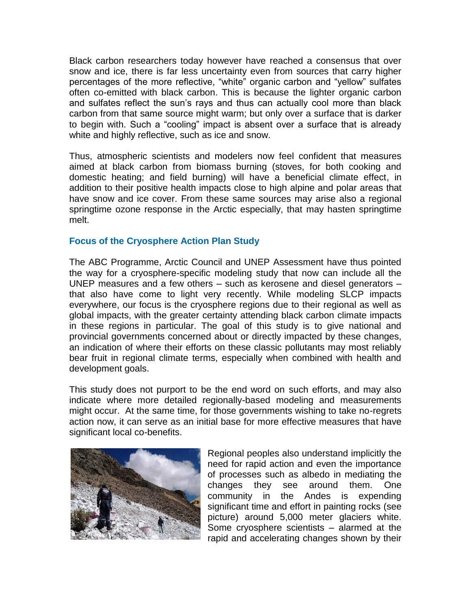Black carbon researchers today however have reached a consensus that over snow and ice, there is far less uncertainty even from sources that carry higher percentages of the more reflective, "white" organic carbon and "yellow" sulfates often co-emitted with black carbon. This is because the lighter organic carbon and sulfates reflect the sun's rays and thus can actually cool more than black carbon from that same source might warm; but only over a surface that is darker to begin with. Such a "cooling" impact is absent over a surface that is already white and highly reflective, such as ice and snow.

Thus, atmospheric scientists and modelers now feel confident that measures aimed at black carbon from biomass burning (stoves, for both cooking and domestic heating; and field burning) will have a beneficial climate effect, in addition to their positive health impacts close to high alpine and polar areas that have snow and ice cover. From these same sources may arise also a regional springtime ozone response in the Arctic especially, that may hasten springtime melt.

## **Focus of the Cryosphere Action Plan Study**

The ABC Programme, Arctic Council and UNEP Assessment have thus pointed the way for a cryosphere-specific modeling study that now can include all the UNEP measures and a few others – such as kerosene and diesel generators – that also have come to light very recently. While modeling SLCP impacts everywhere, our focus is the cryosphere regions due to their regional as well as global impacts, with the greater certainty attending black carbon climate impacts in these regions in particular. The goal of this study is to give national and provincial governments concerned about or directly impacted by these changes, an indication of where their efforts on these classic pollutants may most reliably bear fruit in regional climate terms, especially when combined with health and development goals.

This study does not purport to be the end word on such efforts, and may also indicate where more detailed regionally-based modeling and measurements might occur. At the same time, for those governments wishing to take no-regrets action now, it can serve as an initial base for more effective measures that have significant local co-benefits.



Regional peoples also understand implicitly the need for rapid action and even the importance of processes such as albedo in mediating the changes they see around them. One community in the Andes is expending significant time and effort in painting rocks (see picture) around 5,000 meter glaciers white. Some cryosphere scientists – alarmed at the rapid and accelerating changes shown by their